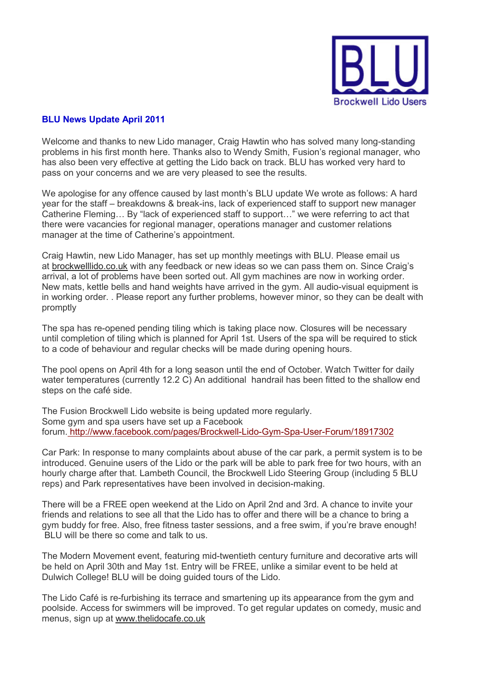

## **BLU News Update April 2011**

Welcome and thanks to new Lido manager, Craig Hawtin who has solved many long-standing problems in his first month here. Thanks also to Wendy Smith, Fusion's regional manager, who has also been very effective at getting the Lido back on track. BLU has worked very hard to pass on your concerns and we are very pleased to see the results.

We apologise for any offence caused by last month's BLU update We wrote as follows: A hard year for the staff – breakdowns & break-ins, lack of experienced staff to support new manager Catherine Fleming... By "lack of experienced staff to support..." we were referring to act that there were vacancies for regional manager, operations manager and customer relations manager at the time of Catherine's appointment.

Craig Hawtin, new Lido Manager, has set up monthly meetings with BLU. Please email us at brockwelllido.co.uk with any feedback or new ideas so we can pass them on. Since Craig's arrival, a lot of problems have been sorted out. All gym machines are now in working order. New mats, kettle bells and hand weights have arrived in the gym. All audio-visual equipment is in working order. . Please report any further problems, however minor, so they can be dealt with promptly

The spa has re-opened pending tiling which is taking place now. Closures will be necessary until completion of tiling which is planned for April 1st. Users of the spa will be required to stick to a code of behaviour and regular checks will be made during opening hours.

The pool opens on April 4th for a long season until the end of October. Watch Twitter for daily water temperatures (currently 12.2 C) An additional handrail has been fitted to the shallow end steps on the café side.

The Fusion Brockwell Lido website is being updated more regularly. Some gym and spa users have set up a Facebook forum. http://www.facebook.com/pages/Brockwell-Lido-Gym-Spa-User-Forum/18917302

Car Park: In response to many complaints about abuse of the car park, a permit system is to be introduced. Genuine users of the Lido or the park will be able to park free for two hours, with an hourly charge after that. Lambeth Council, the Brockwell Lido Steering Group (including 5 BLU reps) and Park representatives have been involved in decision-making.

There will be a FREE open weekend at the Lido on April 2nd and 3rd. A chance to invite your friends and relations to see all that the Lido has to offer and there will be a chance to bring a gym buddy for free. Also, free fitness taster sessions, and a free swim, if you're brave enough! BLU will be there so come and talk to us.

The Modern Movement event, featuring mid-twentieth century furniture and decorative arts will be held on April 30th and May 1st. Entry will be FREE, unlike a similar event to be held at Dulwich College! BLU will be doing guided tours of the Lido.

The Lido Café is re-furbishing its terrace and smartening up its appearance from the gym and poolside. Access for swimmers will be improved. To get regular updates on comedy, music and menus, sign up at www.thelidocafe.co.uk